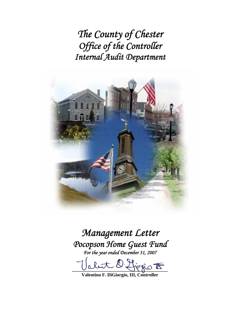*The County of Chester Office of the Controller Internal Audit Department* 



*Management Letter Pocopson Home Guest Fund For the year ended December 31, 2007* 

fiogio <del>to</del>

**Valentino F. DiGiorgio, III, Controller**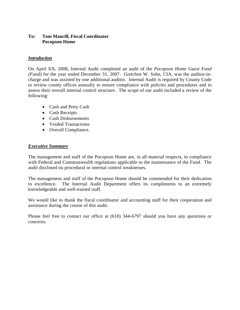# **To: Tom Mancill, Fiscal Coordinator Pocopson Home**

# *Introduction*

On April XX, 2008, Internal Audit completed an audit of the *Pocopson Home Guest Fund (Fund)* for the year ended December 31, 2007. Gretchen W. Sohn, CIA, was the auditor-incharge and was assisted by one additional auditor. Internal Audit is required by County Code to review county offices annually to ensure compliance with policies and procedures and to assess their overall internal control structure. The scope of our audit included a review of the following:

- Cash and Petty Cash
- Cash Receipts
- Cash Disbursements
- Voided Transactions
- Overall Compliance.

# *Executive Summary*

The management and staff of the Pocopson Home are, in all material respects, in compliance with Federal and Commonwealth regulations applicable to the maintenance of the *Fund*. The audit disclosed no procedural or internal control weaknesses.

The management and staff of the Pocopson Home should be commended for their dedication to excellence. The Internal Audit Department offers its compliments to an extremely knowledgeable and well-trained staff.

We would like to thank the fiscal coordinator and accounting staff for their cooperation and assistance during the course of this audit.

Please feel free to contact our office at (610) 344-6797 should you have any questions or concerns.